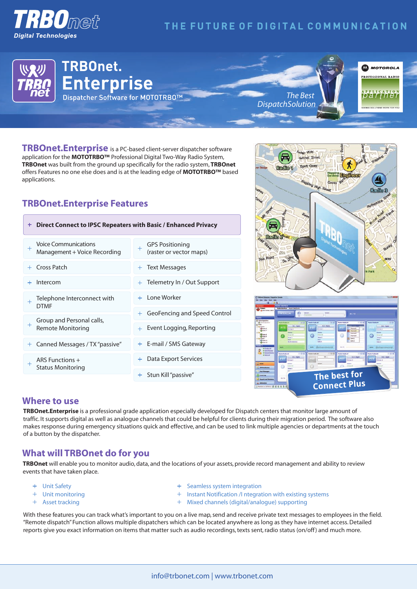

# THE FUTURE OF DIGITAL COMMUNICATION



**TRBOnet.Enterprise** is a PC-based client-server dispatcher software application for the **MOTOTRBO™** Professional Digital Two-Way Radio System, **TRBOnet** was built from the ground up specifically for the radio system, **TRBOnet**  offers Features no one else does and is at the leading edge of **MOTOTRBO™** based applications.

## **TRBOnet.Enterprise Features**

| Direct Connect to IPSC Repeaters with Basic / Enhanced Privacy<br>$+$ .  |                                                   |
|--------------------------------------------------------------------------|---------------------------------------------------|
| <b>Voice Communications</b><br>$\ddot{}$<br>Management + Voice Recording | <b>GPS Positioning</b><br>(raster or vector maps) |
| Cross Patch<br>$\pm$                                                     | + Text Messages                                   |
| Intercom                                                                 | + Telemetry In / Out Support                      |
| Telephone Interconnect with<br><b>DTMF</b>                               | + I one Worker                                    |
|                                                                          | + GeoFencing and Speed Control                    |
| Group and Personal calls,<br>$^{+}$<br><b>Remote Monitoring</b>          | Event Logging, Reporting                          |
| Canned Messages / TX "passive"<br>$+$ .                                  | + E-mail / SMS Gateway                            |
| ARS Functions +                                                          | Data Export Services                              |
| <b>Status Monitoring</b>                                                 | Stun Kill "passive"                               |





#### **Where to use**

**TRBOnet.Enterprise** is a professional grade application especially developed for Dispatch centers that monitor large amount of traffic. It supports digital as well as analogue channels that could be helpful for clients during their migration period. The software also makes response during emergency situations quick and effective, and can be used to link multiple agencies or departments at the touch of a button by the dispatcher.

### **What will TRBOnet do for you**

**TRBOnet** will enable you to monitor audio, data, and the locations of your assets, provide record management and ability to review events that have taken place.

- Unit Safety
- Unit monitoring
- + Asset tracking
- + Seamless system integration
- <sup>+</sup> Instant Notification /I ntegration with existing systems
- Mixed channels (digital/analogue) supporting

With these features you can track what's important to you on a live map, send and receive private text messages to employees in the field. "Remote dispatch" Function allows multiple dispatchers which can be located anywhere as long as they have internet access. Detailed reports give you exact information on items that matter such as audio recordings, texts sent, radio status (on/off) and much more.